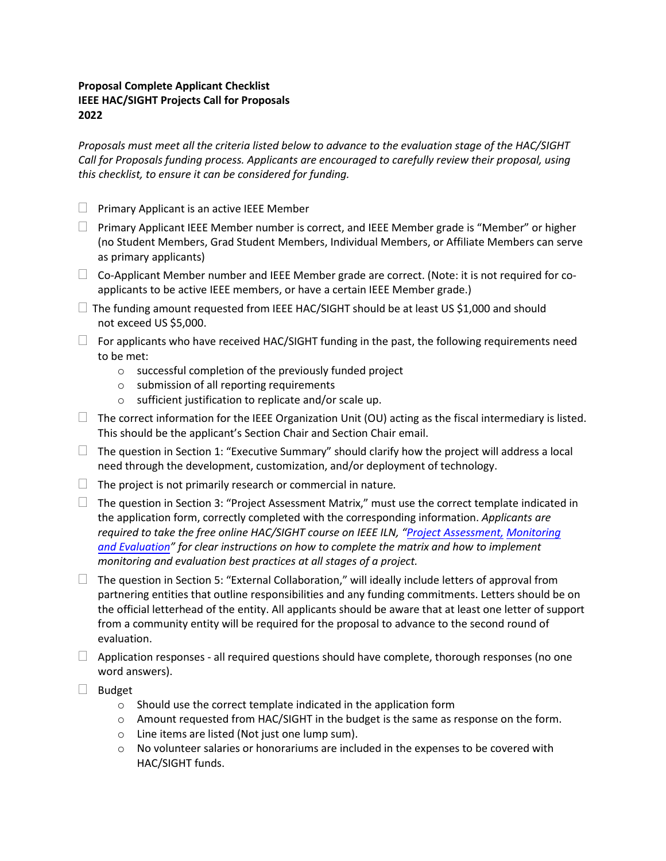## **Proposal Complete Applicant Checklist IEEE HAC/SIGHT Projects Call for Proposals 2022**

*Proposals must meet all the criteria listed below to advance to the evaluation stage of the HAC/SIGHT Call for Proposals funding process. Applicants are encouraged to carefully review their proposal, using this checklist, to ensure it can be considered for funding.* 

- $\Box$  Primary Applicant is an active IEEE Member
- $\Box$  Primary Applicant IEEE Member number is correct, and IEEE Member grade is "Member" or higher (no Student Members, Grad Student Members, Individual Members, or Affiliate Members can serve as primary applicants)
- $\Box$  Co-Applicant Member number and IEEE Member grade are correct. (Note: it is not required for coapplicants to be active IEEE members, or have a certain IEEE Member grade.)
- $\Box$  The funding amount requested from IEEE HAC/SIGHT should be at least US \$1,000 and should not exceed US \$5,000.
- $\Box$  For applicants who have received HAC/SIGHT funding in the past, the following requirements need to be met:
	- o successful completion of the previously funded project
	- o submission of all reporting requirements
	- o sufficient justification to replicate and/or scale up.
- $\Box$  The correct information for the IEEE Organization Unit (OU) acting as the fiscal intermediary is listed. This should be the applicant's Section Chair and Section Chair email.
- $\Box$  The question in Section 1: "Executive Summary" should clarify how the project will address a local need through the development, customization, and/or deployment of technology.
- $\Box$  The project is not primarily research or commercial in nature.
- $\Box$  The question in Section 3: "Project Assessment Matrix," must use the correct template indicated in the application form, correctly completed with the corresponding information. *Applicants are required to take the free online HAC/SIGHT course on IEEE ILN, "Project Assessment, [Monitoring](https://iln.ieee.org/public/contentdetails.aspx?id=FF0759FA80F24542B76C79E0B73955F7)  [and Evaluation" for clear ins](https://iln.ieee.org/public/contentdetails.aspx?id=FF0759FA80F24542B76C79E0B73955F7)tructions on how to complete the matrix and how to implement monitoring and evaluation best practices at all stages of a project.*
- $\Box$  The question in Section 5: "External Collaboration," will ideally include letters of approval from partnering entities that outline responsibilities and any funding commitments. Letters should be on the official letterhead of the entity. All applicants should be aware that at least one letter of support from a community entity will be required for the proposal to advance to the second round of evaluation.
- $\Box$  Application responses all required questions should have complete, thorough responses (no one word answers).
- $\Box$  Budget
	- o Should use the correct template indicated in the application form
	- o Amount requested from HAC/SIGHT in the budget is the same as response on the form.
	- o Line items are listed (Not just one lump sum).
	- $\circ$  No volunteer salaries or honorariums are included in the expenses to be covered with HAC/SIGHT funds.